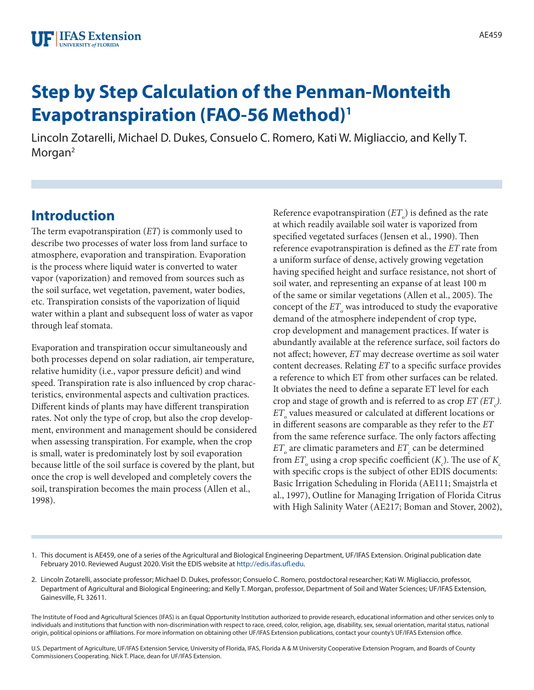# **Step by Step Calculation of the Penman-Monteith Evapotranspiration (FAO-56 Method)1**

Lincoln Zotarelli, Michael D. Dukes, Consuelo C. Romero, Kati W. Migliaccio, and Kelly T. Morgan<sup>2</sup>

## **Introduction**

The term evapotranspiration (*ET*) is commonly used to describe two processes of water loss from land surface to atmosphere, evaporation and transpiration. Evaporation is the process where liquid water is converted to water vapor (vaporization) and removed from sources such as the soil surface, wet vegetation, pavement, water bodies, etc. Transpiration consists of the vaporization of liquid water within a plant and subsequent loss of water as vapor through leaf stomata.

Evaporation and transpiration occur simultaneously and both processes depend on solar radiation, air temperature, relative humidity (i.e., vapor pressure deficit) and wind speed. Transpiration rate is also influenced by crop characteristics, environmental aspects and cultivation practices. Different kinds of plants may have different transpiration rates. Not only the type of crop, but also the crop development, environment and management should be considered when assessing transpiration. For example, when the crop is small, water is predominately lost by soil evaporation because little of the soil surface is covered by the plant, but once the crop is well developed and completely covers the soil, transpiration becomes the main process (Allen et al., 1998).

Reference evapotranspiration  $\left( ET_{_{\rm O}} \right)$  is defined as the rate at which readily available soil water is vaporized from specified vegetated surfaces (Jensen et al., 1990). Then reference evapotranspiration is defined as the *ET* rate from a uniform surface of dense, actively growing vegetation having specified height and surface resistance, not short of soil water, and representing an expanse of at least 100 m of the same or similar vegetations (Allen et al., 2005). The concept of the  $ET_{\circ}$  was introduced to study the evaporative demand of the atmosphere independent of crop type, crop development and management practices. If water is abundantly available at the reference surface, soil factors do not affect; however, *ET* may decrease overtime as soil water content decreases. Relating *ET* to a specific surface provides a reference to which ET from other surfaces can be related. It obviates the need to define a separate ET level for each crop and stage of growth and is referred to as crop  $ET$   $(ET<sub>c</sub>)$ .  $ET_{\circ}$  values measured or calculated at different locations or in different seasons are comparable as they refer to the *ET* from the same reference surface. The only factors affecting  $ET_{\circ}$  are climatic parameters and  $ET_{\circ}$  can be determined from  $ET_{\circ}$  using a crop specific coefficient (*K*<sub>c</sub>). The use of *K*<sub>c</sub> with specific crops is the subject of other EDIS documents: Basic Irrigation Scheduling in Florida (AE111; Smajstrla et al., 1997), Outline for Managing Irrigation of Florida Citrus with High Salinity Water (AE217; Boman and Stover, 2002),

- 1. This document is AE459, one of a series of the Agricultural and Biological Engineering Department, UF/IFAS Extension. Original publication date February 2010. Reviewed August 2020. Visit the EDIS website at<http://edis.ifas.ufl.edu>.
- 2. Lincoln Zotarelli, associate professor; Michael D. Dukes, professor; Consuelo C. Romero, postdoctoral researcher; Kati W. Migliaccio, professor, Department of Agricultural and Biological Engineering; and Kelly T. Morgan, professor, Department of Soil and Water Sciences; UF/IFAS Extension, Gainesville, FL 32611.

The Institute of Food and Agricultural Sciences (IFAS) is an Equal Opportunity Institution authorized to provide research, educational information and other services only to individuals and institutions that function with non-discrimination with respect to race, creed, color, religion, age, disability, sex, sexual orientation, marital status, national origin, political opinions or affiliations. For more information on obtaining other UF/IFAS Extension publications, contact your county's UF/IFAS Extension office.

U.S. Department of Agriculture, UF/IFAS Extension Service, University of Florida, IFAS, Florida A & M University Cooperative Extension Program, and Boards of County Commissioners Cooperating. Nick T. Place, dean for UF/IFAS Extension.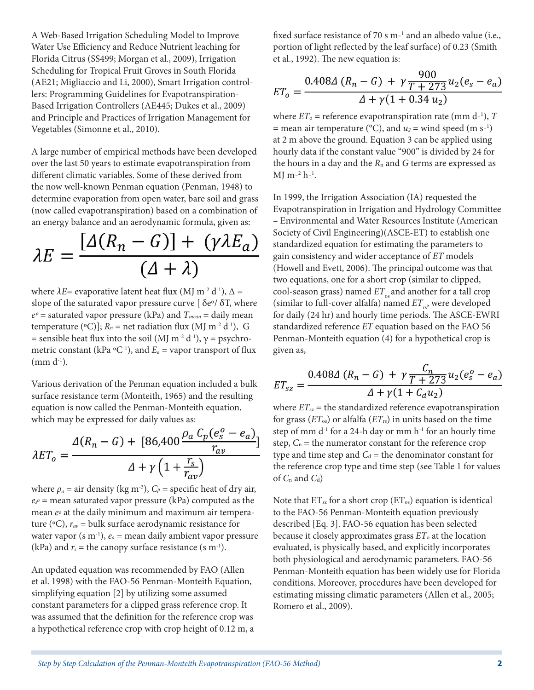A Web-Based Irrigation Scheduling Model to Improve Water Use Efficiency and Reduce Nutrient leaching for Florida Citrus (SS499; Morgan et al., 2009), Irrigation Scheduling for Tropical Fruit Groves in South Florida (AE21; Migliaccio and Li, 2000), Smart Irrigation controllers: Programming Guidelines for Evapotranspiration-Based Irrigation Controllers (AE445; Dukes et al., 2009) and Principle and Practices of Irrigation Management for Vegetables (Simonne et al., 2010).

A large number of empirical methods have been developed over the last 50 years to estimate evapotranspiration from different climatic variables. Some of these derived from the now well-known Penman equation (Penman, 1948) to determine evaporation from open water, bare soil and grass (now called evapotranspiration) based on a combination of an energy balance and an aerodynamic formula, given as:

$$
\lambda E = \frac{[\Delta(R_n - G)] + (\gamma \lambda E_a)}{(\Delta + \lambda)}
$$

where  $\lambda E$ = evaporative latent heat flux (MJ m<sup>-2</sup> d<sup>-1</sup>),  $\Delta$  = slope of the saturated vapor pressure curve [ $\delta$ e<sup>o</sup>/ $\delta$ T, where  $e^o$  = saturated vapor pressure (kPa) and  $T_{mean}$  = daily mean temperature (°C)];  $R_n$  = net radiation flux (MJ m<sup>-2</sup> d<sup>-1</sup>), G = sensible heat flux into the soil (MJ m<sup>-2</sup> d<sup>-1</sup>),  $\gamma$  = psychrometric constant (kPa  ${}^{\circ}C^{-1}$ ), and  $E_a$  = vapor transport of flux  $(mm d^{-1}).$ 

Various derivation of the Penman equation included a bulk surface resistance term (Monteith, 1965) and the resulting equation is now called the Penman-Monteith equation, which may be expressed for daily values as:

$$
\lambda ET_o = \frac{\Delta(R_n - G) + [86,400 \frac{\rho_a C_p (e_s^o - e_a)}{r_{av}}]}{\Delta + \gamma \left(1 + \frac{r_s}{r_{av}}\right)}
$$

where  $\rho_a$  = air density (kg m<sup>-3</sup>),  $C_p$  = specific heat of dry air, *es <sup>o</sup>* = mean saturated vapor pressure (kPa) computed as the mean *eo* at the daily minimum and maximum air temperature ( $\rm{^oC}$ ),  $r_{av}$  = bulk surface aerodynamic resistance for water vapor  $(s \, m^{-1})$ ,  $e_a$  = mean daily ambient vapor pressure (kPa) and  $r_s$  = the canopy surface resistance (s m<sup>-1</sup>).

An updated equation was recommended by FAO (Allen et al. 1998) with the FAO-56 Penman-Monteith Equation, simplifying equation [2] by utilizing some assumed constant parameters for a clipped grass reference crop. It was assumed that the definition for the reference crop was a hypothetical reference crop with crop height of 0.12 m, a

fixed surface resistance of 70 s m<sup>-1</sup> and an albedo value (i.e., portion of light reflected by the leaf surface) of 0.23 (Smith et al., 1992). The new equation is:

$$
ET_0 = \frac{0.408\Delta (R_n - G) + \gamma \frac{900}{T + 273} u_2 (e_s - e_a)}{\Delta + \gamma (1 + 0.34 u_2)}
$$

where  $ET_{\circ}$  = reference evapotranspiration rate (mm d-<sup>1</sup>),  $T$ = mean air temperature ( $^{\circ}$ C), and  $u_2$  = wind speed (m s<sup>-1</sup>) at 2 m above the ground. Equation 3 can be applied using hourly data if the constant value "900" is divided by 24 for the hours in a day and the  $R_n$  and  $G$  terms are expressed as MJ m<sup>-2</sup> h<sup>-1</sup>.

In 1999, the Irrigation Association (IA) requested the Evapotranspiration in Irrigation and Hydrology Committee – Environmental and Water Resources Institute (American Society of Civil Engineering)(ASCE-ET) to establish one standardized equation for estimating the parameters to gain consistency and wider acceptance of *ET* models (Howell and Evett, 2006). The principal outcome was that two equations, one for a short crop (similar to clipped, cool-season grass) named  $ET_{\alpha}$  and another for a tall crop (similar to full-cover alfalfa) named  $ET_{\rm rs}$ , were developed for daily (24 hr) and hourly time periods. The ASCE-EWRI standardized reference *ET* equation based on the FAO 56 Penman-Monteith equation (4) for a hypothetical crop is given as,

$$
ET_{sz} = \frac{0.408\Delta (R_n - G) + \gamma \frac{C_n}{T + 273} u_2 (e_s^o - e_a)}{\Delta + \gamma (1 + C_d u_2)}
$$

where  $ET_{sz}$  = the standardized reference evapotranspiration for grass (*ET*os) or alfalfa (*ET*rs) in units based on the time step of mm d-1 for a 24-h day or mm h-1 for an hourly time step,  $C_n$  = the numerator constant for the reference crop type and time step and  $C_d$  = the denominator constant for the reference crop type and time step (see Table 1 for values of *C*n and *C*d)

Note that  $ET_{sz}$  for a short crop ( $ET_{os}$ ) equation is identical to the FAO-56 Penman-Monteith equation previously described [Eq. 3]. FAO-56 equation has been selected because it closely approximates grass *ET*o at the location evaluated, is physically based, and explicitly incorporates both physiological and aerodynamic parameters. FAO-56 Penman-Monteith equation has been widely use for Florida conditions. Moreover, procedures have been developed for estimating missing climatic parameters (Allen et al., 2005; Romero et al., 2009).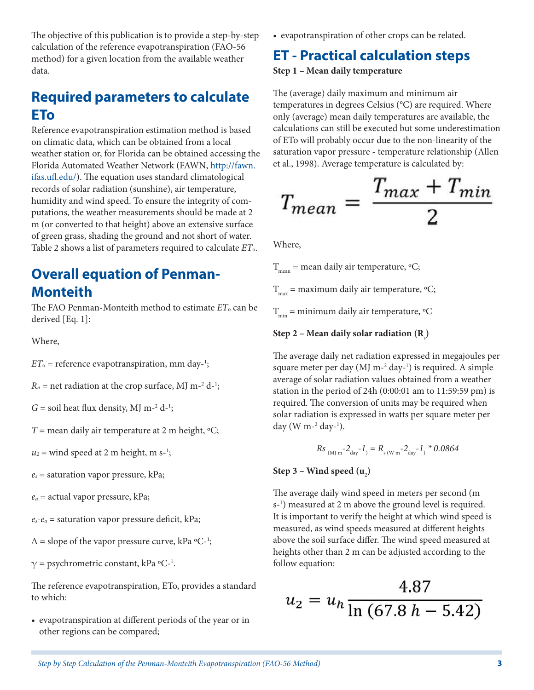The objective of this publication is to provide a step-by-step calculation of the reference evapotranspiration (FAO-56 method) for a given location from the available weather data.

## **Required parameters to calculate ETo**

Reference evapotranspiration estimation method is based on climatic data, which can be obtained from a local weather station or, for Florida can be obtained accessing the Florida Automated Weather Network (FAWN, [http://fawn.](http://fawn.ifas.ufl.edu/) [ifas.ufl.edu/\)](http://fawn.ifas.ufl.edu/). The equation uses standard climatological records of solar radiation (sunshine), air temperature, humidity and wind speed. To ensure the integrity of computations, the weather measurements should be made at 2 m (or converted to that height) above an extensive surface of green grass, shading the ground and not short of water. Table 2 shows a list of parameters required to calculate *ET*o.

## **Overall equation of Penman-Monteith**

The FAO Penman-Monteith method to estimate  $ET_0$  can be derived [Eq. 1]:

Where,

 $ET_{\circ}$  = reference evapotranspiration, mm day-<sup>1</sup>;

 $R_n$  = net radiation at the crop surface, MJ m<sup>-2</sup> d<sup>-1</sup>;

 $G =$  soil heat flux density, MJ m<sup>-2</sup> d<sup>-1</sup>;

 $T$  = mean daily air temperature at 2 m height,  ${}^{\circ}C$ ;

 $u_2$  = wind speed at 2 m height, m s<sup>-1</sup>;

*es* = saturation vapor pressure, kPa;

*ea* = actual vapor pressure, kPa;

 $e_s - e_a$  = saturation vapor pressure deficit, kPa;

 $\Delta$  = slope of the vapor pressure curve, kPa °C-<sup>1</sup>;

 $\gamma$  = psychrometric constant, kPa °C-<sup>1</sup>.

The reference evapotranspiration, ETo, provides a standard to which:

• evapotranspiration at different periods of the year or in other regions can be compared;

• evapotranspiration of other crops can be related.

## **ET - Practical calculation steps**

**Step 1 – Mean daily temperature**

The (average) daily maximum and minimum air temperatures in degrees Celsius (°C) are required. Where only (average) mean daily temperatures are available, the calculations can still be executed but some underestimation of ETo will probably occur due to the non-linearity of the saturation vapor pressure - temperature relationship (Allen et al., 1998). Average temperature is calculated by:

$$
T_{mean} = \frac{T_{max} + T_{min}}{2}
$$

Where,

 $T_{\text{mean}}$  = mean daily air temperature, °C;  $T_{\text{max}}$  = maximum daily air temperature, °C;

 $T_{\min}$  = minimum daily air temperature,  $\mathrm{C}$ 

Step 2 – Mean daily solar radiation (R<sub>s</sub>)

The average daily net radiation expressed in megajoules per square meter per day (MJ m<sup>-2</sup> day-<sup>1</sup>) is required. A simple average of solar radiation values obtained from a weather station in the period of 24h (0:00:01 am to 11:59:59 pm) is required. The conversion of units may be required when solar radiation is expressed in watts per square meter per day (W m-2 day-1 ).

$$
Rs_{\text{(MJ m}^{-2} \text{day}^{-1})} = R_{\text{s (W m}^{-2} \text{day}^{-1})} * 0.0864
$$

## Step 3 – Wind speed (**u**<sub>2</sub>)

The average daily wind speed in meters per second (m s-1 ) measured at 2 m above the ground level is required. It is important to verify the height at which wind speed is measured, as wind speeds measured at different heights above the soil surface differ. The wind speed measured at heights other than 2 m can be adjusted according to the follow equation:

$$
u_2 = u_h \frac{4.87}{\ln(67.8 \, h - 5.42)}
$$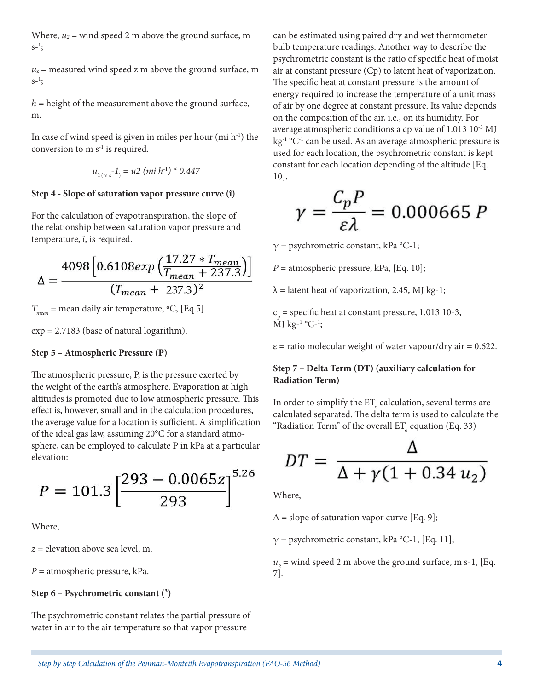Where,  $u_2$  = wind speed 2 m above the ground surface, m  $s-1$ ;

 $u_z$  = measured wind speed z m above the ground surface, m  $s-1$ ;

*h* = height of the measurement above the ground surface, m.

In case of wind speed is given in miles per hour  $(\text{mi } h^{-1})$  the conversion to  $m s<sup>-1</sup>$  is required.

$$
u_{2(m s}^{-1}) = u2 (mi h^{1}) * 0.447
$$

#### **Step 4 - Slope of saturation vapor pressure curve (î)**

For the calculation of evapotranspiration, the slope of the relationship between saturation vapor pressure and temperature, î, is required.

$$
\Delta = \frac{4098 \left[0.6108 \exp \left(\frac{17.27 \times T_{mean}}{T_{mean} + 237.3}\right)\right]}{(T_{mean} + 237.3)^2}
$$

 $T_{mean}$  = mean daily air temperature, °C, [Eq.5]

exp = 2.7183 (base of natural logarithm).

#### **Step 5 – Atmospheric Pressure (P)**

The atmospheric pressure, P, is the pressure exerted by the weight of the earth's atmosphere. Evaporation at high altitudes is promoted due to low atmospheric pressure. This effect is, however, small and in the calculation procedures, the average value for a location is sufficient. A simplification of the ideal gas law, assuming 20°C for a standard atmosphere, can be employed to calculate P in kPa at a particular elevation:

$$
P = 101.3 \left[ \frac{293 - 0.0065z}{293} \right]^{5.26}
$$

Where,

*z* = elevation above sea level, m.

*P* = atmospheric pressure, kPa.

#### **Step 6 – Psychrometric constant (³)**

The psychrometric constant relates the partial pressure of water in air to the air temperature so that vapor pressure

can be estimated using paired dry and wet thermometer bulb temperature readings. Another way to describe the psychrometric constant is the ratio of specific heat of moist air at constant pressure (Cp) to latent heat of vaporization. The specific heat at constant pressure is the amount of energy required to increase the temperature of a unit mass of air by one degree at constant pressure. Its value depends on the composition of the air, i.e., on its humidity. For average atmospheric conditions a cp value of 1.013 10<sup>-3</sup> MJ  $kg<sup>-1</sup> °C<sup>-1</sup>$  can be used. As an average atmospheric pressure is used for each location, the psychrometric constant is kept constant for each location depending of the altitude [Eq. 10].

$$
\gamma = \frac{C_p P}{\varepsilon \lambda} = 0.000665 P
$$

 $\gamma$  = psychrometric constant, kPa °C-1;

*P* = atmospheric pressure, kPa, [Eq. 10];

 $\lambda$  = latent heat of vaporization, 2.45, MJ kg-1;

 $c_p$  = specific heat at constant pressure, 1.013 10-3, MJ kg-1 °C-1 ;

 $\epsilon$  = ratio molecular weight of water vapour/dry air = 0.622.

### **Step 7 – Delta Term (DT) (auxiliary calculation for Radiation Term)**

In order to simplify the  $\mathop{\text{ET}}\nolimits_{\circ}$  calculation, several terms are calculated separated. The delta term is used to calculate the "Radiation Term" of the overall  $\operatorname{ET}_{\circ}$  equation (Eq. 33)

$$
DT = \frac{\Delta}{\Delta + \gamma (1 + 0.34 u_2)}
$$

Where,

 $\Delta$  = slope of saturation vapor curve [Eq. 9];

 $\gamma$  = psychrometric constant, kPa °C-1, [Eq. 11];

 $u_2$  = wind speed 2 m above the ground surface, m s-1, [Eq. 7].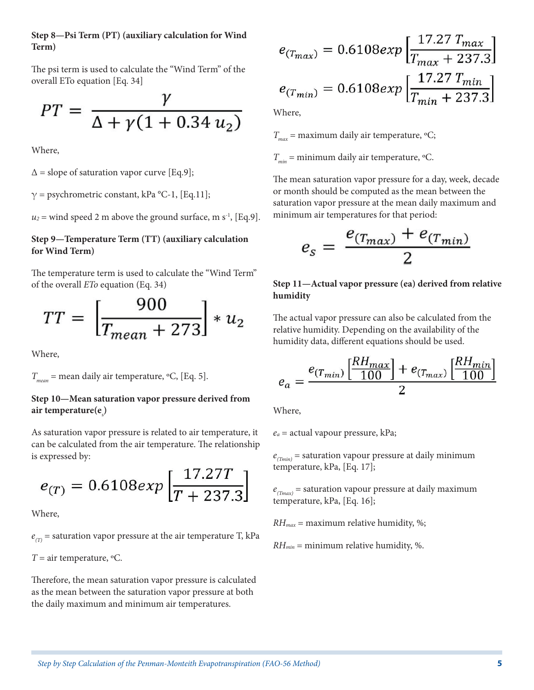#### **Step 8—Psi Term (PT) (auxiliary calculation for Wind Term)**

The psi term is used to calculate the "Wind Term" of the overall ETo equation [Eq. 34]

$$
PT = \frac{\gamma}{\Delta + \gamma (1 + 0.34 u_2)}
$$

Where,

 $\Delta$  = slope of saturation vapor curve [Eq.9];

 $\gamma$  = psychrometric constant, kPa °C-1, [Eq.11];

 $u_2$  = wind speed 2 m above the ground surface, m s<sup>-1</sup>, [Eq.9].

### **Step 9—Temperature Term (TT) (auxiliary calculation for Wind Term)**

The temperature term is used to calculate the "Wind Term" of the overall *ETo* equation (Eq. 34)

$$
TT = \left[\frac{900}{T_{mean} + 273}\right] * u_2
$$

Where,

*Tmean* = mean daily air temperature, ºC, [Eq. 5].

### **Step 10—Mean saturation vapor pressure derived from**  air temperature(e<sub>s</sub>)

As saturation vapor pressure is related to air temperature, it can be calculated from the air temperature. The relationship is expressed by:

$$
e_{(T)} = 0.6108 \exp\left[\frac{17.27T}{T + 237.3}\right]
$$

Where,

 $e_{(T)}$  = saturation vapor pressure at the air temperature T, kPa

 $T =$  air temperature,  $\mathrm{C}$ .

Therefore, the mean saturation vapor pressure is calculated as the mean between the saturation vapor pressure at both the daily maximum and minimum air temperatures.

$$
e_{(T_{max})} = 0.6108 \exp\left[\frac{17.27 T_{max}}{T_{max} + 237.3}\right]
$$

$$
e_{(T_{min})} = 0.6108 \exp\left[\frac{17.27 T_{min}}{T_{min} + 237.3}\right]
$$

Where,

 $T_{\text{max}}$  = maximum daily air temperature,  $\text{°C}$ ;

 $T_{\text{min}}$  = minimum daily air temperature,  $\text{°C}$ .

The mean saturation vapor pressure for a day, week, decade or month should be computed as the mean between the saturation vapor pressure at the mean daily maximum and minimum air temperatures for that period:

$$
e_s = \frac{e_{(T_{max})} + e_{(T_{min})}}{2}
$$

### **Step 11—Actual vapor pressure (ea) derived from relative humidity**

The actual vapor pressure can also be calculated from the relative humidity. Depending on the availability of the humidity data, different equations should be used.

$$
e_a = \frac{e_{(T_{min})} \left[ \frac{R H_{max}}{100} \right] + e_{(T_{max})} \left[ \frac{R H_{min}}{100} \right]}{2}
$$

Where,

*ea* = actual vapour pressure, kPa;

 $e_{(Tmin)}$  = saturation vapour pressure at daily minimum temperature, kPa, [Eq. 17];

 $e_{(Tmax)}$  = saturation vapour pressure at daily maximum temperature, kPa, [Eq. 16];

*RHmax* = maximum relative humidity, %;

*RHmin* = minimum relative humidity, %.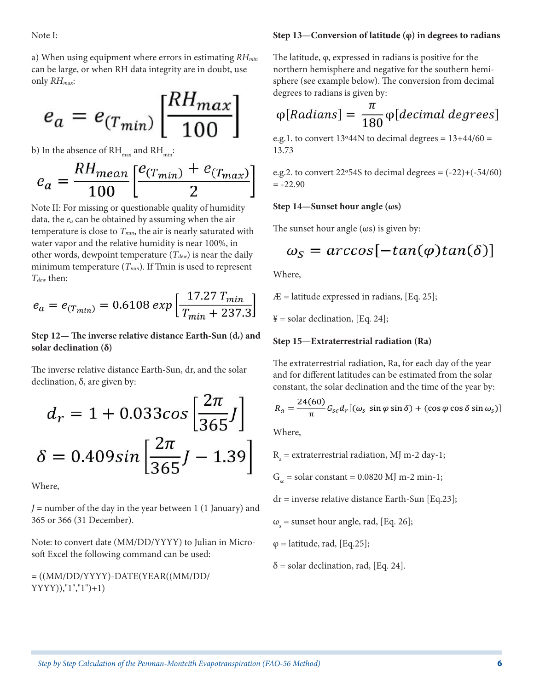Note I:

a) When using equipment where errors in estimating *RHmin* can be large, or when RH data integrity are in doubt, use only *RHmax*:

$$
e_a = e_{(T_{min})} \left[ \frac{R H_{max}}{100} \right]
$$

b) In the absence of  $\text{RH}_{\text{max}}$  and  $\text{RH}_{\text{min}}$ :

$$
e_a = \frac{R H_{mean}}{100} \left[ \frac{e_{(T_{min})} + e_{(T_{max})}}{2} \right]
$$

Note II: For missing or questionable quality of humidity data, the *ea* can be obtained by assuming when the air temperature is close to  $T_{min}$ , the air is nearly saturated with water vapor and the relative humidity is near 100%, in other words, dewpoint temperature  $(T_{dev})$  is near the daily minimum temperature  $(T_{min})$ . If Tmin is used to represent *Tdew* then:

$$
e_a = e_{(T_{min})} = 0.6108 \exp\left[\frac{17.27 \, T_{min}}{T_{min} + 237.3}\right]
$$

### Step 12— The inverse relative distance Earth-Sun (d<sub>r</sub>) and **solar declination (δ)**

The inverse relative distance Earth-Sun, dr, and the solar declination, δ, are given by:

$$
d_r = 1 + 0.033\cos\left[\frac{2\pi}{365}J\right]
$$

$$
\delta = 0.409\sin\left[\frac{2\pi}{365}J - 1.39\right]
$$

Where,

*J* = number of the day in the year between 1 (1 January) and 365 or 366 (31 December).

Note: to convert date (MM/DD/YYYY) to Julian in Microsoft Excel the following command can be used:

 $= ((MM/DD/YYYY)-DATE(YEAR((MM/DD/$ YYYY)),"1","1")+1)

#### **Step 13—Conversion of latitude (φ) in degrees to radians**

The latitude, φ, expressed in radians is positive for the northern hemisphere and negative for the southern hemisphere (see example below). The conversion from decimal degrees to radians is given by:

$$
\varphi[Radians] = \frac{\pi}{180} \varphi[decimal \ degrees]
$$

e.g.1. to convert  $13^{\circ}44N$  to decimal degrees =  $13+44/60$  = 13.73

e.g.2. to convert 22 $\textdegree$ 54S to decimal degrees =  $(-22)$ + $(-54/60)$  $= -22.90$ 

#### **Step 14—Sunset hour angle (ωs)**

The sunset hour angle  $(\omega s)$  is given by:

$$
\omega_S = \arccos[-\tan(\varphi)\tan(\delta)]
$$

Where,

 $AE =$  latitude expressed in radians, [Eq. 25];

 $Y =$  solar declination, [Eq. 24];

#### **Step 15—Extraterrestrial radiation (Ra)**

The extraterrestrial radiation, Ra, for each day of the year and for different latitudes can be estimated from the solar constant, the solar declination and the time of the year by:

$$
R_a = \frac{24(60)}{\pi} G_{sc} d_r [(\omega_s \sin \varphi \sin \delta) + (\cos \varphi \cos \delta \sin \omega_s)]
$$

Where,

 $R_a$  = extraterrestrial radiation, MJ m-2 day-1;

 $G_s$  = solar constant = 0.0820 MJ m-2 min-1;

dr = inverse relative distance Earth-Sun [Eq.23];

 $\omega_{\rm s}$  = sunset hour angle, rad, [Eq. 26];

 $\varphi$  = latitude, rad, [Eq.25];

$$
\delta = \text{ solar declination, rad, [Eq. 24].}
$$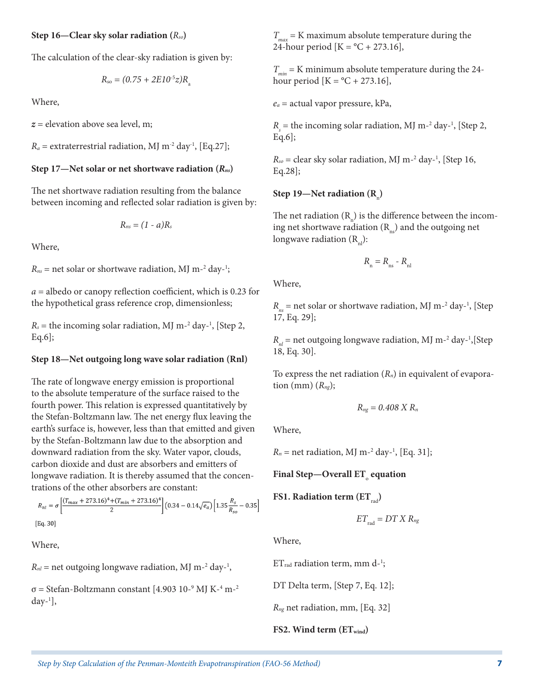#### **Step 16—Clear sky solar radiation (***Rso***)**

The calculation of the clear-sky radiation is given by:

$$
R_{\rm so} = (0.75 + 2E10^{-5}z)R_{\rm a}
$$

Where,

*z* = elevation above sea level, m;

 $R_a$  = extraterrestrial radiation, MJ m<sup>-2</sup> day<sup>-1</sup>, [Eq.27];

### **Step 17—Net solar or net shortwave radiation (***Rns***)**

The net shortwave radiation resulting from the balance between incoming and reflected solar radiation is given by:

$$
R_{ns}=(1-a)R_s
$$

Where,

 $R_{ns}$  = net solar or shortwave radiation, MJ m<sup>-2</sup> day-<sup>1</sup>;

*a* = albedo or canopy reflection coefficient, which is 0.23 for the hypothetical grass reference crop, dimensionless;

 $R_s$  = the incoming solar radiation, MJ m<sup>-2</sup> day<sup>-1</sup>, [Step 2, Eq.6];

#### **Step 18—Net outgoing long wave solar radiation (Rnl)**

The rate of longwave energy emission is proportional to the absolute temperature of the surface raised to the fourth power. This relation is expressed quantitatively by the Stefan-Boltzmann law. The net energy flux leaving the earth's surface is, however, less than that emitted and given by the Stefan-Boltzmann law due to the absorption and downward radiation from the sky. Water vapor, clouds, carbon dioxide and dust are absorbers and emitters of longwave radiation. It is thereby assumed that the concentrations of the other absorbers are constant:

$$
R_{nl} = \sigma \left[ \frac{(T_{max} + 273.16)^4 + (T_{min} + 273.16)^4}{2} \right] (0.34 - 0.14 \sqrt{e_a}) \left[ 1.35 \frac{R_s}{R_{so}} - 0.35 \right]
$$
  
[Eq. 30]

Where,

 $R_{nl}$  = net outgoing longwave radiation, MJ m<sup>-2</sup> day<sup>-1</sup>,

 $\sigma$  = Stefan-Boltzmann constant [4.903 10-<sup>9</sup> MJ K-<sup>4</sup> m-<sup>2</sup> day-1 ],

 $T_{\text{max}}$  = K maximum absolute temperature during the 24-hour period  $[K = {}^{\circ}C + 273.16]$ ,

 $T_{min}$  = K minimum absolute temperature during the 24hour period  $[K = {}^{\circ}C + 273.16]$ ,

*ea* = actual vapor pressure, kPa,

 $R<sub>s</sub>$  = the incoming solar radiation, MJ m<sup>-2</sup> day<sup>-1</sup>, [Step 2, Eq.6];

 $R_{so}$  = clear sky solar radiation, MJ m<sup>-2</sup> day<sup>-1</sup>, [Step 16, Eq.28];

### Step 19—Net radiation (R<sub>n</sub>)

The net radiation  $(R_{n}^{n})$  is the difference between the incoming net shortwave radiation  $(R_m)$  and the outgoing net longwave radiation  $(R_{nl})$ :

$$
R_{\rm n} = R_{\rm ns} - R_{\rm nl}
$$

Where,

 $R_{ns}$  = net solar or shortwave radiation, MJ m<sup>-2</sup> day<sup>-1</sup>, [Step 17, Eq. 29];

*R*<sub>nl</sub> = net outgoing longwave radiation, MJ m<sup>-2</sup> day<sup>-1</sup>,[Step 18, Eq. 30].

To express the net radiation (*Rn*) in equivalent of evaporation (mm)  $(R_{nq})$ ;

$$
R_{ng}=0.408\,X\,R_n
$$

Where,

 $R_n$  = net radiation, MJ m<sup>-2</sup> day<sup>-1</sup>, [Eq. 31];

**Final Step—Overall ET**<sup>o</sup>  **equation**

**FS1. Radiation term (ET**<sub>rad</sub>)

$$
ET_{\rm rad} = DT X R_{ng}
$$

Where,

 $ET_{rad}$  radiation term, mm d-<sup>1</sup>;

DT Delta term, [Step 7, Eq. 12];

*Rng* net radiation, mm, [Eq. 32]

**FS2. Wind term (ETwind)**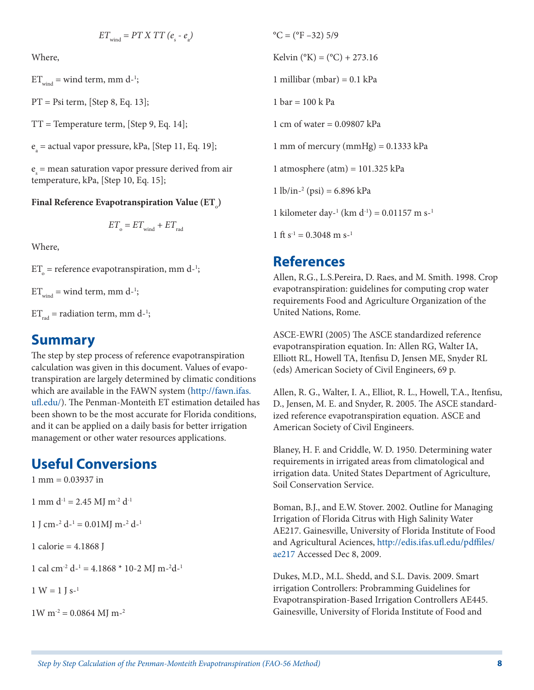$$
ET_{\text{wind}} = PT X TT (e_{\text{s}} - e_{\text{a}})
$$

Where,

 $ET_{wind}$  = wind term, mm d-<sup>1</sup>;

PT = Psi term, [Step 8, Eq. 13];

TT = Temperature term, [Step 9, Eq. 14];

 $e_a$  = actual vapor pressure, kPa, [Step 11, Eq. 19];

 $e_s$  = mean saturation vapor pressure derived from air temperature, kPa, [Step 10, Eq. 15];

### Final Reference Evapotranspiration Value (ET<sub>。</sub>)

$$
ET_{\rm o}=ET_{\rm wind}+ET_{\rm rad}
$$

Where,

 $ET_{o}$  = reference evapotranspiration, mm d<sup>-1</sup>;

 $ET_{wind}$  = wind term, mm d-<sup>1</sup>;

 $ET_{rad}$  = radiation term, mm d-<sup>1</sup>;

## **Summary**

The step by step process of reference evapotranspiration calculation was given in this document. Values of evapotranspiration are largely determined by climatic conditions which are available in the FAWN system ([http://fawn.ifas.](http://fawn.ifas.ufl.edu/) [ufl.edu/](http://fawn.ifas.ufl.edu/)). The Penman-Monteith ET estimation detailed has been shown to be the most accurate for Florida conditions, and it can be applied on a daily basis for better irrigation management or other water resources applications.

## **Useful Conversions**

 $1 \text{ mm} = 0.03937 \text{ in}$ 1 mm  $d^{-1}$  = 2.45 MI m<sup>-2</sup>  $d^{-1}$ 1 J cm<sup>-2</sup>  $d$ <sup>-1</sup> = 0.01MJ m<sup>-2</sup>  $d$ <sup>-1</sup> 1 calorie = 4.1868 J 1 cal cm<sup>-2</sup> d<sup>-1</sup> = 4.1868 \* 10-2 MJ m<sup>-2</sup>d<sup>-1</sup>  $1 W = 1 I s^{-1}$ 

 $1W m^{-2} = 0.0864 M J m^{-2}$ 

 $^{\circ}$ C = ( $^{\circ}$ F –32) 5/9 Kelvin ( ${}^{\circ}$ K) = ( ${}^{\circ}$ C) + 273.16 1 millibar (mbar) = 0.1 kPa 1 bar =  $100 \text{ k Pa}$ 1 cm of water = 0.09807 kPa 1 mm of mercury (mmHg) =  $0.1333$  kPa 1 atmosphere (atm) = 101.325 kPa 1 lb/in-2 (psi) = 6.896 kPa 1 kilometer day-<sup>1</sup> (km d<sup>-1</sup>) = 0.01157 m s-<sup>1</sup> 1 ft  $s^{-1} = 0.3048$  m  $s^{-1}$ 

## **References**

Allen, R.G., L.S.Pereira, D. Raes, and M. Smith. 1998. Crop evapotranspiration: guidelines for computing crop water requirements Food and Agriculture Organization of the United Nations, Rome.

ASCE-EWRI (2005) The ASCE standardized reference evapotranspiration equation. In: Allen RG, Walter IA, Elliott RL, Howell TA, Itenfisu D, Jensen ME, Snyder RL (eds) American Society of Civil Engineers, 69 p.

Allen, R. G., Walter, I. A., Elliot, R. L., Howell, T.A., Itenfisu, D., Jensen, M. E. and Snyder, R. 2005. The ASCE standardized reference evapotranspiration equation. ASCE and American Society of Civil Engineers.

Blaney, H. F. and Criddle, W. D. 1950. Determining water requirements in irrigated areas from climatological and irrigation data. United States Department of Agriculture, Soil Conservation Service.

Boman, B.J., and E.W. Stover. 2002. Outline for Managing Irrigation of Florida Citrus with High Salinity Water AE217. Gainesville, University of Florida Institute of Food and Agricultural Aciences, [http://edis.ifas.ufl.edu/pdffiles/](http://edis.ifas.ufl.edu/pdffiles/ae217) [ae217](http://edis.ifas.ufl.edu/pdffiles/ae217) Accessed Dec 8, 2009.

Dukes, M.D., M.L. Shedd, and S.L. Davis. 2009. Smart irrigation Controllers: Probramming Guidelines for Evapotranspiration-Based Irrigation Controllers AE445. Gainesville, University of Florida Institute of Food and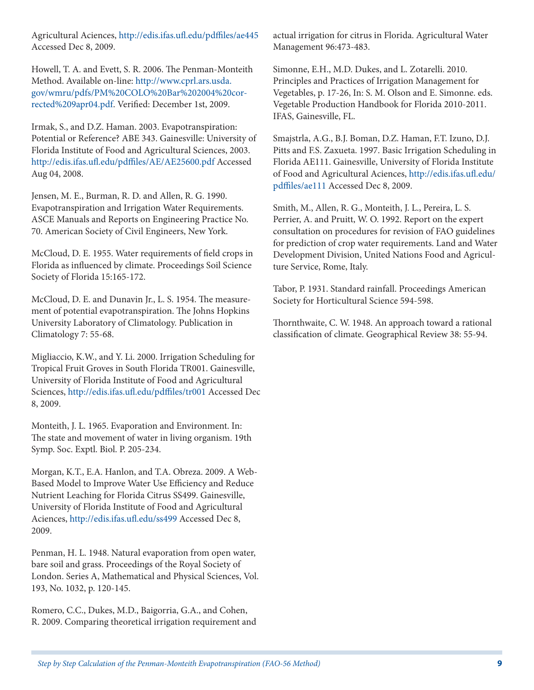Agricultural Aciences,<http://edis.ifas.ufl.edu/pdffiles/ae445> Accessed Dec 8, 2009.

Howell, T. A. and Evett, S. R. 2006. The Penman-Monteith Method. Available on-line: [http://www.cprl.ars.usda.](http://www.cprl.ars.usda.gov/wmru/pdfs/PM%20COLO%20Bar%202004%20corrected%209apr04.pdf) [gov/wmru/pdfs/PM%20COLO%20Bar%202004%20cor](http://www.cprl.ars.usda.gov/wmru/pdfs/PM%20COLO%20Bar%202004%20corrected%209apr04.pdf)[rected%209apr04.pdf.](http://www.cprl.ars.usda.gov/wmru/pdfs/PM%20COLO%20Bar%202004%20corrected%209apr04.pdf) Verified: December 1st, 2009.

Irmak, S., and D.Z. Haman. 2003. Evapotranspiration: Potential or Reference? ABE 343. Gainesville: University of Florida Institute of Food and Agricultural Sciences, 2003. <http://edis.ifas.ufl.edu/pdffiles/AE/AE25600.pdf> Accessed Aug 04, 2008.

Jensen, M. E., Burman, R. D. and Allen, R. G. 1990. Evapotranspiration and Irrigation Water Requirements. ASCE Manuals and Reports on Engineering Practice No. 70. American Society of Civil Engineers, New York.

McCloud, D. E. 1955. Water requirements of field crops in Florida as influenced by climate. Proceedings Soil Science Society of Florida 15:165-172.

McCloud, D. E. and Dunavin Jr., L. S. 1954. The measurement of potential evapotranspiration. The Johns Hopkins University Laboratory of Climatology. Publication in Climatology 7: 55-68.

Migliaccio, K.W., and Y. Li. 2000. Irrigation Scheduling for Tropical Fruit Groves in South Florida TR001. Gainesville, University of Florida Institute of Food and Agricultural Sciences, <http://edis.ifas.ufl.edu/pdffiles/tr001> Accessed Dec 8, 2009.

Monteith, J. L. 1965. Evaporation and Environment. In: The state and movement of water in living organism. 19th Symp. Soc. Exptl. Biol. P. 205-234.

Morgan, K.T., E.A. Hanlon, and T.A. Obreza. 2009. A Web-Based Model to Improve Water Use Efficiency and Reduce Nutrient Leaching for Florida Citrus SS499. Gainesville, University of Florida Institute of Food and Agricultural Aciences, <http://edis.ifas.ufl.edu/ss499> Accessed Dec 8, 2009.

Penman, H. L. 1948. Natural evaporation from open water, bare soil and grass. Proceedings of the Royal Society of London. Series A, Mathematical and Physical Sciences, Vol. 193, No. 1032, p. 120-145.

Romero, C.C., Dukes, M.D., Baigorria, G.A., and Cohen, R. 2009. Comparing theoretical irrigation requirement and actual irrigation for citrus in Florida. Agricultural Water Management 96:473-483.

Simonne, E.H., M.D. Dukes, and L. Zotarelli. 2010. Principles and Practices of Irrigation Management for Vegetables, p. 17-26, In: S. M. Olson and E. Simonne. eds. Vegetable Production Handbook for Florida 2010-2011. IFAS, Gainesville, FL.

Smajstrla, A.G., B.J. Boman, D.Z. Haman, F.T. Izuno, D.J. Pitts and F.S. Zaxueta. 1997. Basic Irrigation Scheduling in Florida AE111. Gainesville, University of Florida Institute of Food and Agricultural Aciences, [http://edis.ifas.ufl.edu/](http://edis.ifas.ufl.edu/pdffiles/ae111) [pdffiles/ae111](http://edis.ifas.ufl.edu/pdffiles/ae111) Accessed Dec 8, 2009.

Smith, M., Allen, R. G., Monteith, J. L., Pereira, L. S. Perrier, A. and Pruitt, W. O. 1992. Report on the expert consultation on procedures for revision of FAO guidelines for prediction of crop water requirements. Land and Water Development Division, United Nations Food and Agriculture Service, Rome, Italy.

Tabor, P. 1931. Standard rainfall. Proceedings American Society for Horticultural Science 594-598.

Thornthwaite, C. W. 1948. An approach toward a rational classification of climate. Geographical Review 38: 55-94.